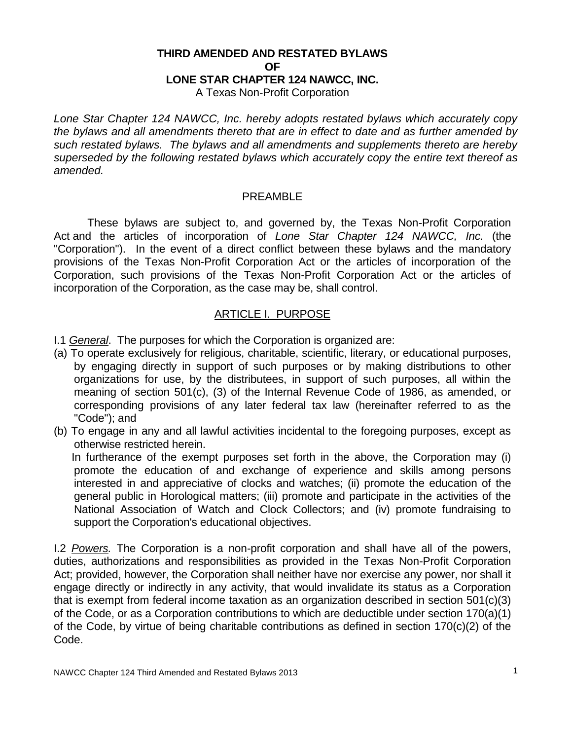# **THIRD AMENDED AND RESTATED BYLAWS OF LONE STAR CHAPTER 124 NAWCC, INC.**

A Texas Non-Profit Corporation

*Lone Star Chapter 124 NAWCC, Inc. hereby adopts restated bylaws which accurately copy the bylaws and all amendments thereto that are in effect to date and as further amended by such restated bylaws. The bylaws and all amendments and supplements thereto are hereby superseded by the following restated bylaws which accurately copy the entire text thereof as amended.*

#### PREAMBLE

These bylaws are subject to, and governed by, the Texas Non-Profit Corporation Act and the articles of incorporation of *Lone Star Chapter 124 NAWCC, Inc.* (the "Corporation"). In the event of a direct conflict between these bylaws and the mandatory provisions of the Texas Non-Profit Corporation Act or the articles of incorporation of the Corporation, such provisions of the Texas Non-Profit Corporation Act or the articles of incorporation of the Corporation, as the case may be, shall control.

### ARTICLE I. PURPOSE

I.1 *General*. The purposes for which the Corporation is organized are:

- (a) To operate exclusively for religious, charitable, scientific, literary, or educational purposes, by engaging directly in support of such purposes or by making distributions to other organizations for use, by the distributees, in support of such purposes, all within the meaning of section 501(c), (3) of the Internal Revenue Code of 1986, as amended, or corresponding provisions of any later federal tax law (hereinafter referred to as the "Code"); and
- (b) To engage in any and all lawful activities incidental to the foregoing purposes, except as otherwise restricted herein.

 In furtherance of the exempt purposes set forth in the above, the Corporation may (i) promote the education of and exchange of experience and skills among persons interested in and appreciative of clocks and watches; (ii) promote the education of the general public in Horological matters; (iii) promote and participate in the activities of the National Association of Watch and Clock Collectors; and (iv) promote fundraising to support the Corporation's educational objectives.

I.2 *Powers.* The Corporation is a non-profit corporation and shall have all of the powers, duties, authorizations and responsibilities as provided in the Texas Non-Profit Corporation Act; provided, however, the Corporation shall neither have nor exercise any power, nor shall it engage directly or indirectly in any activity, that would invalidate its status as a Corporation that is exempt from federal income taxation as an organization described in section 501(c)(3) of the Code, or as a Corporation contributions to which are deductible under section 170(a)(1) of the Code, by virtue of being charitable contributions as defined in section 170(c)(2) of the Code.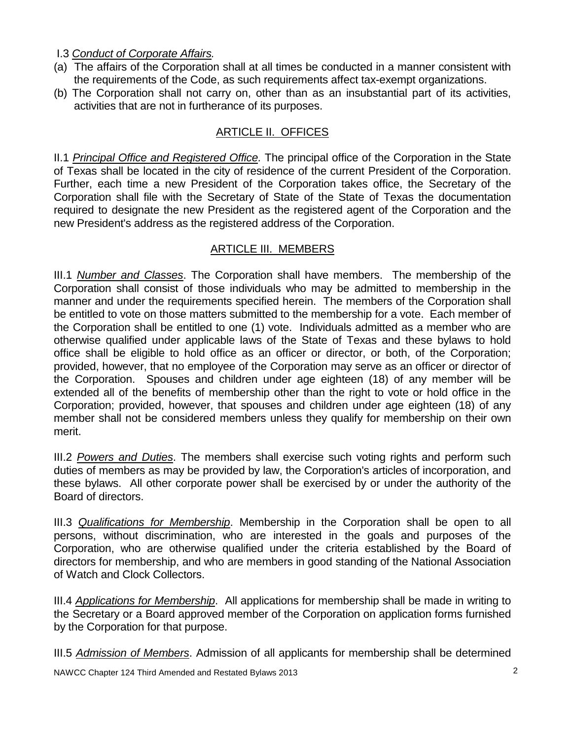I.3 *Conduct of Corporate Affairs.*

- (a) The affairs of the Corporation shall at all times be conducted in a manner consistent with the requirements of the Code, as such requirements affect tax-exempt organizations.
- (b) The Corporation shall not carry on, other than as an insubstantial part of its activities, activities that are not in furtherance of its purposes.

## ARTICLE II. OFFICES

II.1 *Principal Office and Registered Office.* The principal office of the Corporation in the State of Texas shall be located in the city of residence of the current President of the Corporation. Further, each time a new President of the Corporation takes office, the Secretary of the Corporation shall file with the Secretary of State of the State of Texas the documentation required to designate the new President as the registered agent of the Corporation and the new President's address as the registered address of the Corporation.

### ARTICLE III. MEMBERS

III.1 *Number and Classes*. The Corporation shall have members. The membership of the Corporation shall consist of those individuals who may be admitted to membership in the manner and under the requirements specified herein. The members of the Corporation shall be entitled to vote on those matters submitted to the membership for a vote. Each member of the Corporation shall be entitled to one (1) vote. Individuals admitted as a member who are otherwise qualified under applicable laws of the State of Texas and these bylaws to hold office shall be eligible to hold office as an officer or director, or both, of the Corporation; provided, however, that no employee of the Corporation may serve as an officer or director of the Corporation. Spouses and children under age eighteen (18) of any member will be extended all of the benefits of membership other than the right to vote or hold office in the Corporation; provided, however, that spouses and children under age eighteen (18) of any member shall not be considered members unless they qualify for membership on their own merit.

III.2 *Powers and Duties*. The members shall exercise such voting rights and perform such duties of members as may be provided by law, the Corporation's articles of incorporation, and these bylaws. All other corporate power shall be exercised by or under the authority of the Board of directors.

III.3 *Qualifications for Membership*. Membership in the Corporation shall be open to all persons, without discrimination, who are interested in the goals and purposes of the Corporation, who are otherwise qualified under the criteria established by the Board of directors for membership, and who are members in good standing of the National Association of Watch and Clock Collectors.

III.4 *Applications for Membership*. All applications for membership shall be made in writing to the Secretary or a Board approved member of the Corporation on application forms furnished by the Corporation for that purpose.

III.5 *Admission of Members*. Admission of all applicants for membership shall be determined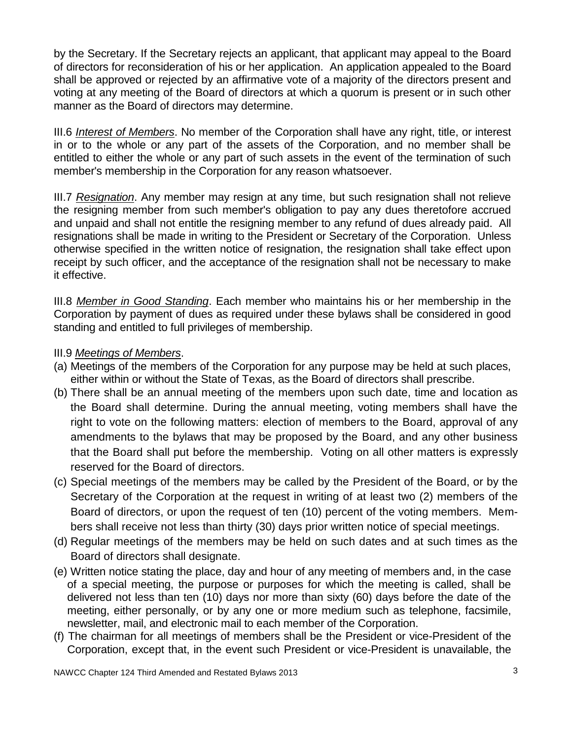by the Secretary. If the Secretary rejects an applicant, that applicant may appeal to the Board of directors for reconsideration of his or her application. An application appealed to the Board shall be approved or rejected by an affirmative vote of a majority of the directors present and voting at any meeting of the Board of directors at which a quorum is present or in such other manner as the Board of directors may determine.

III.6 *Interest of Members*. No member of the Corporation shall have any right, title, or interest in or to the whole or any part of the assets of the Corporation, and no member shall be entitled to either the whole or any part of such assets in the event of the termination of such member's membership in the Corporation for any reason whatsoever.

III.7 *Resignation*. Any member may resign at any time, but such resignation shall not relieve the resigning member from such member's obligation to pay any dues theretofore accrued and unpaid and shall not entitle the resigning member to any refund of dues already paid. All resignations shall be made in writing to the President or Secretary of the Corporation. Unless otherwise specified in the written notice of resignation, the resignation shall take effect upon receipt by such officer, and the acceptance of the resignation shall not be necessary to make it effective.

III.8 *Member in Good Standing*. Each member who maintains his or her membership in the Corporation by payment of dues as required under these bylaws shall be considered in good standing and entitled to full privileges of membership.

### III.9 *Meetings of Members*.

- (a) Meetings of the members of the Corporation for any purpose may be held at such places, either within or without the State of Texas, as the Board of directors shall prescribe.
- (b) There shall be an annual meeting of the members upon such date, time and location as the Board shall determine. During the annual meeting, voting members shall have the right to vote on the following matters: election of members to the Board, approval of any amendments to the bylaws that may be proposed by the Board, and any other business that the Board shall put before the membership. Voting on all other matters is expressly reserved for the Board of directors.
- (c) Special meetings of the members may be called by the President of the Board, or by the Secretary of the Corporation at the request in writing of at least two (2) members of the Board of directors, or upon the request of ten (10) percent of the voting members. Members shall receive not less than thirty (30) days prior written notice of special meetings.
- (d) Regular meetings of the members may be held on such dates and at such times as the Board of directors shall designate.
- (e) Written notice stating the place, day and hour of any meeting of members and, in the case of a special meeting, the purpose or purposes for which the meeting is called, shall be delivered not less than ten (10) days nor more than sixty (60) days before the date of the meeting, either personally, or by any one or more medium such as telephone, facsimile, newsletter, mail, and electronic mail to each member of the Corporation.
- (f) The chairman for all meetings of members shall be the President or vice-President of the Corporation, except that, in the event such President or vice-President is unavailable, the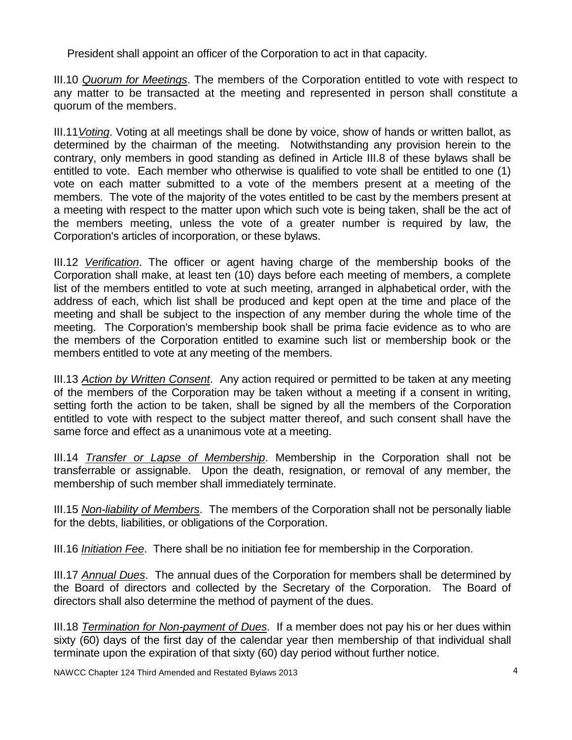President shall appoint an officer of the Corporation to act in that capacity.

III.10 *Quorum for Meetings*. The members of the Corporation entitled to vote with respect to any matter to be transacted at the meeting and represented in person shall constitute a quorum of the members.

III.11*Voting*. Voting at all meetings shall be done by voice, show of hands or written ballot, as determined by the chairman of the meeting. Notwithstanding any provision herein to the contrary, only members in good standing as defined in Article III.8 of these bylaws shall be entitled to vote. Each member who otherwise is qualified to vote shall be entitled to one (1) vote on each matter submitted to a vote of the members present at a meeting of the members. The vote of the majority of the votes entitled to be cast by the members present at a meeting with respect to the matter upon which such vote is being taken, shall be the act of the members meeting, unless the vote of a greater number is required by law, the Corporation's articles of incorporation, or these bylaws.

III.12 *Verification*. The officer or agent having charge of the membership books of the Corporation shall make, at least ten (10) days before each meeting of members, a complete list of the members entitled to vote at such meeting, arranged in alphabetical order, with the address of each, which list shall be produced and kept open at the time and place of the meeting and shall be subject to the inspection of any member during the whole time of the meeting. The Corporation's membership book shall be prima facie evidence as to who are the members of the Corporation entitled to examine such list or membership book or the members entitled to vote at any meeting of the members.

III.13 *Action by Written Consent*. Any action required or permitted to be taken at any meeting of the members of the Corporation may be taken without a meeting if a consent in writing, setting forth the action to be taken, shall be signed by all the members of the Corporation entitled to vote with respect to the subject matter thereof, and such consent shall have the same force and effect as a unanimous vote at a meeting.

III.14 *Transfer or Lapse of Membership*. Membership in the Corporation shall not be transferrable or assignable. Upon the death, resignation, or removal of any member, the membership of such member shall immediately terminate.

III.15 *Non-liability of Members*. The members of the Corporation shall not be personally liable for the debts, liabilities, or obligations of the Corporation.

III.16 *Initiation Fee*. There shall be no initiation fee for membership in the Corporation.

III.17 *Annual Dues*. The annual dues of the Corporation for members shall be determined by the Board of directors and collected by the Secretary of the Corporation. The Board of directors shall also determine the method of payment of the dues.

III.18 *Termination for Non-payment of Dues*. If a member does not pay his or her dues within sixty (60) days of the first day of the calendar year then membership of that individual shall terminate upon the expiration of that sixty (60) day period without further notice.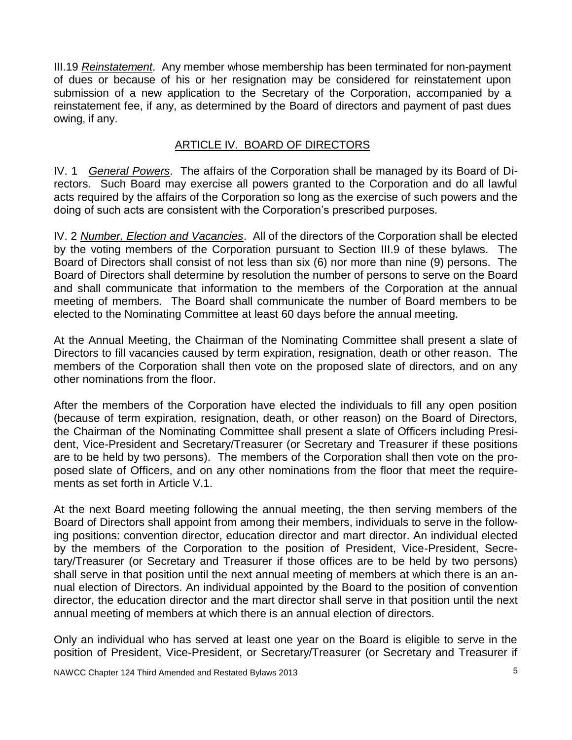III.19 *Reinstatement*. Any member whose membership has been terminated for non-payment of dues or because of his or her resignation may be considered for reinstatement upon submission of a new application to the Secretary of the Corporation, accompanied by a reinstatement fee, if any, as determined by the Board of directors and payment of past dues owing, if any.

### ARTICLE IV. BOARD OF DIRECTORS

IV. 1 *General Powers*. The affairs of the Corporation shall be managed by its Board of Directors. Such Board may exercise all powers granted to the Corporation and do all lawful acts required by the affairs of the Corporation so long as the exercise of such powers and the doing of such acts are consistent with the Corporation's prescribed purposes.

IV. 2 *Number, Election and Vacancies*. All of the directors of the Corporation shall be elected by the voting members of the Corporation pursuant to Section III.9 of these bylaws. The Board of Directors shall consist of not less than six (6) nor more than nine (9) persons. The Board of Directors shall determine by resolution the number of persons to serve on the Board and shall communicate that information to the members of the Corporation at the annual meeting of members. The Board shall communicate the number of Board members to be elected to the Nominating Committee at least 60 days before the annual meeting.

At the Annual Meeting, the Chairman of the Nominating Committee shall present a slate of Directors to fill vacancies caused by term expiration, resignation, death or other reason. The members of the Corporation shall then vote on the proposed slate of directors, and on any other nominations from the floor.

After the members of the Corporation have elected the individuals to fill any open position (because of term expiration, resignation, death, or other reason) on the Board of Directors, the Chairman of the Nominating Committee shall present a slate of Officers including President, Vice-President and Secretary/Treasurer (or Secretary and Treasurer if these positions are to be held by two persons). The members of the Corporation shall then vote on the proposed slate of Officers, and on any other nominations from the floor that meet the requirements as set forth in Article V.1.

At the next Board meeting following the annual meeting, the then serving members of the Board of Directors shall appoint from among their members, individuals to serve in the following positions: convention director, education director and mart director. An individual elected by the members of the Corporation to the position of President, Vice-President, Secretary/Treasurer (or Secretary and Treasurer if those offices are to be held by two persons) shall serve in that position until the next annual meeting of members at which there is an annual election of Directors. An individual appointed by the Board to the position of convention director, the education director and the mart director shall serve in that position until the next annual meeting of members at which there is an annual election of directors.

Only an individual who has served at least one year on the Board is eligible to serve in the position of President, Vice-President, or Secretary/Treasurer (or Secretary and Treasurer if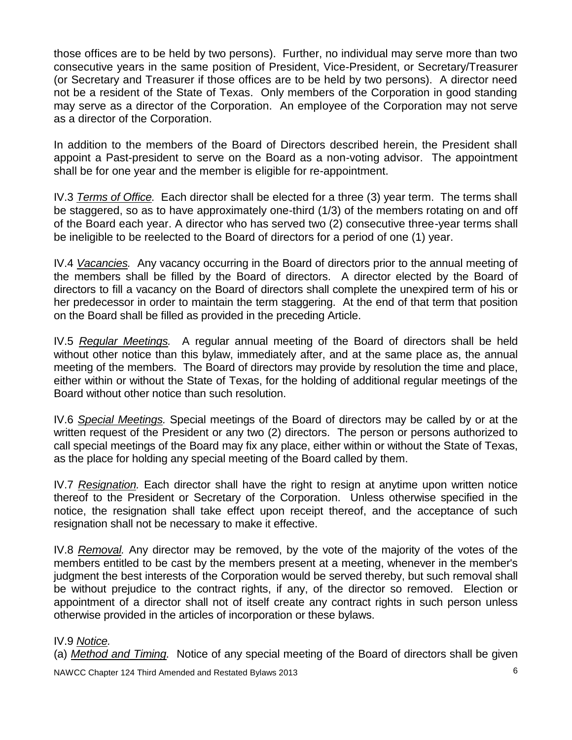those offices are to be held by two persons). Further, no individual may serve more than two consecutive years in the same position of President, Vice-President, or Secretary/Treasurer (or Secretary and Treasurer if those offices are to be held by two persons). A director need not be a resident of the State of Texas. Only members of the Corporation in good standing may serve as a director of the Corporation. An employee of the Corporation may not serve as a director of the Corporation.

In addition to the members of the Board of Directors described herein, the President shall appoint a Past-president to serve on the Board as a non-voting advisor. The appointment shall be for one year and the member is eligible for re-appointment.

IV.3 *Terms of Office.* Each director shall be elected for a three (3) year term. The terms shall be staggered, so as to have approximately one-third (1/3) of the members rotating on and off of the Board each year. A director who has served two (2) consecutive three-year terms shall be ineligible to be reelected to the Board of directors for a period of one (1) year.

IV.4 *Vacancies.* Any vacancy occurring in the Board of directors prior to the annual meeting of the members shall be filled by the Board of directors. A director elected by the Board of directors to fill a vacancy on the Board of directors shall complete the unexpired term of his or her predecessor in order to maintain the term staggering. At the end of that term that position on the Board shall be filled as provided in the preceding Article.

IV.5 *Regular Meetings.* A regular annual meeting of the Board of directors shall be held without other notice than this bylaw, immediately after, and at the same place as, the annual meeting of the members. The Board of directors may provide by resolution the time and place, either within or without the State of Texas, for the holding of additional regular meetings of the Board without other notice than such resolution.

IV.6 *Special Meetings.* Special meetings of the Board of directors may be called by or at the written request of the President or any two (2) directors. The person or persons authorized to call special meetings of the Board may fix any place, either within or without the State of Texas, as the place for holding any special meeting of the Board called by them.

IV.7 *Resignation.* Each director shall have the right to resign at anytime upon written notice thereof to the President or Secretary of the Corporation. Unless otherwise specified in the notice, the resignation shall take effect upon receipt thereof, and the acceptance of such resignation shall not be necessary to make it effective.

IV.8 *Removal.* Any director may be removed, by the vote of the majority of the votes of the members entitled to be cast by the members present at a meeting, whenever in the member's judgment the best interests of the Corporation would be served thereby, but such removal shall be without prejudice to the contract rights, if any, of the director so removed. Election or appointment of a director shall not of itself create any contract rights in such person unless otherwise provided in the articles of incorporation or these bylaws.

### IV.9 *Notice.*

(a) *Method and Timing.* Notice of any special meeting of the Board of directors shall be given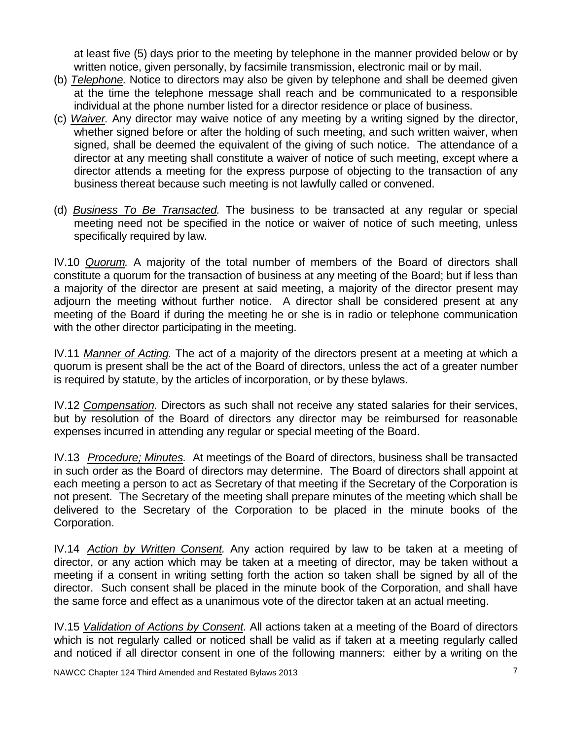at least five (5) days prior to the meeting by telephone in the manner provided below or by written notice, given personally, by facsimile transmission, electronic mail or by mail.

- (b) *Telephone.* Notice to directors may also be given by telephone and shall be deemed given at the time the telephone message shall reach and be communicated to a responsible individual at the phone number listed for a director residence or place of business.
- (c) *Waiver.* Any director may waive notice of any meeting by a writing signed by the director, whether signed before or after the holding of such meeting, and such written waiver, when signed, shall be deemed the equivalent of the giving of such notice. The attendance of a director at any meeting shall constitute a waiver of notice of such meeting, except where a director attends a meeting for the express purpose of objecting to the transaction of any business thereat because such meeting is not lawfully called or convened.
- (d) *Business To Be Transacted.* The business to be transacted at any regular or special meeting need not be specified in the notice or waiver of notice of such meeting, unless specifically required by law.

IV.10 *Quorum.* A majority of the total number of members of the Board of directors shall constitute a quorum for the transaction of business at any meeting of the Board; but if less than a majority of the director are present at said meeting, a majority of the director present may adjourn the meeting without further notice. A director shall be considered present at any meeting of the Board if during the meeting he or she is in radio or telephone communication with the other director participating in the meeting.

IV.11 *Manner of Acting.* The act of a majority of the directors present at a meeting at which a quorum is present shall be the act of the Board of directors, unless the act of a greater number is required by statute, by the articles of incorporation, or by these bylaws.

IV.12 *Compensation.* Directors as such shall not receive any stated salaries for their services, but by resolution of the Board of directors any director may be reimbursed for reasonable expenses incurred in attending any regular or special meeting of the Board.

IV.13 *Procedure; Minutes.* At meetings of the Board of directors, business shall be transacted in such order as the Board of directors may determine. The Board of directors shall appoint at each meeting a person to act as Secretary of that meeting if the Secretary of the Corporation is not present. The Secretary of the meeting shall prepare minutes of the meeting which shall be delivered to the Secretary of the Corporation to be placed in the minute books of the Corporation.

IV.14 *Action by Written Consent.* Any action required by law to be taken at a meeting of director, or any action which may be taken at a meeting of director, may be taken without a meeting if a consent in writing setting forth the action so taken shall be signed by all of the director. Such consent shall be placed in the minute book of the Corporation, and shall have the same force and effect as a unanimous vote of the director taken at an actual meeting.

IV.15 *Validation of Actions by Consent.* All actions taken at a meeting of the Board of directors which is not regularly called or noticed shall be valid as if taken at a meeting regularly called and noticed if all director consent in one of the following manners: either by a writing on the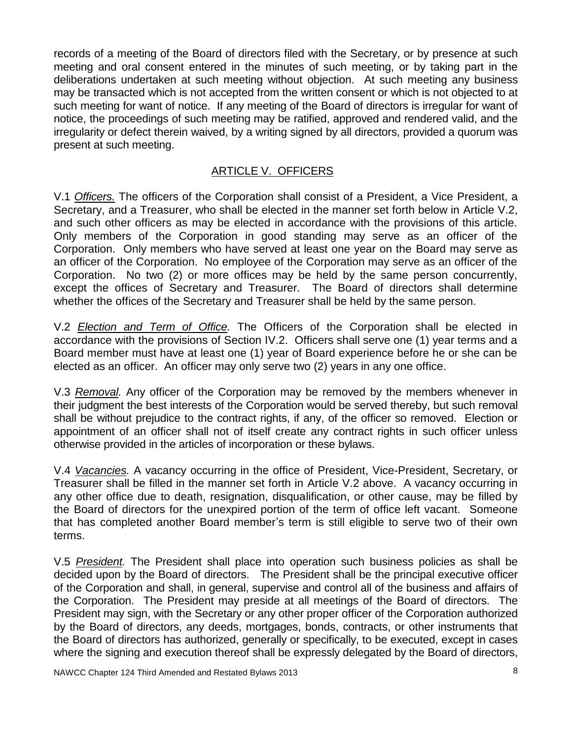records of a meeting of the Board of directors filed with the Secretary, or by presence at such meeting and oral consent entered in the minutes of such meeting, or by taking part in the deliberations undertaken at such meeting without objection. At such meeting any business may be transacted which is not accepted from the written consent or which is not objected to at such meeting for want of notice. If any meeting of the Board of directors is irregular for want of notice, the proceedings of such meeting may be ratified, approved and rendered valid, and the irregularity or defect therein waived, by a writing signed by all directors, provided a quorum was present at such meeting.

## ARTICLE V. OFFICERS

V.1 *Officers.* The officers of the Corporation shall consist of a President, a Vice President, a Secretary, and a Treasurer, who shall be elected in the manner set forth below in Article V.2, and such other officers as may be elected in accordance with the provisions of this article. Only members of the Corporation in good standing may serve as an officer of the Corporation. Only members who have served at least one year on the Board may serve as an officer of the Corporation. No employee of the Corporation may serve as an officer of the Corporation. No two (2) or more offices may be held by the same person concurrently, except the offices of Secretary and Treasurer. The Board of directors shall determine whether the offices of the Secretary and Treasurer shall be held by the same person.

V.2 *Election and Term of Office.* The Officers of the Corporation shall be elected in accordance with the provisions of Section IV.2. Officers shall serve one (1) year terms and a Board member must have at least one (1) year of Board experience before he or she can be elected as an officer. An officer may only serve two (2) years in any one office.

V.3 *Removal.* Any officer of the Corporation may be removed by the members whenever in their judgment the best interests of the Corporation would be served thereby, but such removal shall be without prejudice to the contract rights, if any, of the officer so removed. Election or appointment of an officer shall not of itself create any contract rights in such officer unless otherwise provided in the articles of incorporation or these bylaws.

V.4 *Vacancies.* A vacancy occurring in the office of President, Vice-President, Secretary, or Treasurer shall be filled in the manner set forth in Article V.2 above. A vacancy occurring in any other office due to death, resignation, disqualification, or other cause, may be filled by the Board of directors for the unexpired portion of the term of office left vacant. Someone that has completed another Board member's term is still eligible to serve two of their own terms.

V.5 *President.* The President shall place into operation such business policies as shall be decided upon by the Board of directors. The President shall be the principal executive officer of the Corporation and shall, in general, supervise and control all of the business and affairs of the Corporation. The President may preside at all meetings of the Board of directors. The President may sign, with the Secretary or any other proper officer of the Corporation authorized by the Board of directors, any deeds, mortgages, bonds, contracts, or other instruments that the Board of directors has authorized, generally or specifically, to be executed, except in cases where the signing and execution thereof shall be expressly delegated by the Board of directors,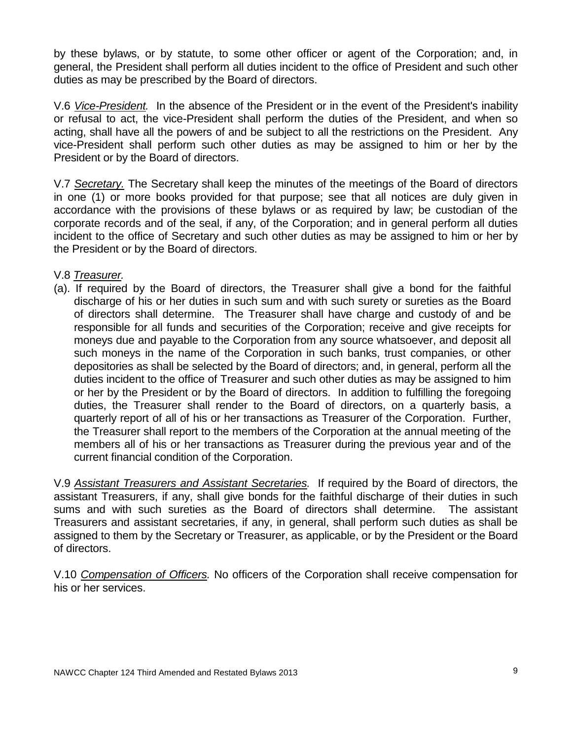by these bylaws, or by statute, to some other officer or agent of the Corporation; and, in general, the President shall perform all duties incident to the office of President and such other duties as may be prescribed by the Board of directors.

V.6 *Vice-President.* In the absence of the President or in the event of the President's inability or refusal to act, the vice-President shall perform the duties of the President, and when so acting, shall have all the powers of and be subject to all the restrictions on the President. Any vice-President shall perform such other duties as may be assigned to him or her by the President or by the Board of directors.

V.7 *Secretary.* The Secretary shall keep the minutes of the meetings of the Board of directors in one (1) or more books provided for that purpose; see that all notices are duly given in accordance with the provisions of these bylaws or as required by law; be custodian of the corporate records and of the seal, if any, of the Corporation; and in general perform all duties incident to the office of Secretary and such other duties as may be assigned to him or her by the President or by the Board of directors.

V.8 *Treasurer.*

(a). If required by the Board of directors, the Treasurer shall give a bond for the faithful discharge of his or her duties in such sum and with such surety or sureties as the Board of directors shall determine. The Treasurer shall have charge and custody of and be responsible for all funds and securities of the Corporation; receive and give receipts for moneys due and payable to the Corporation from any source whatsoever, and deposit all such moneys in the name of the Corporation in such banks, trust companies, or other depositories as shall be selected by the Board of directors; and, in general, perform all the duties incident to the office of Treasurer and such other duties as may be assigned to him or her by the President or by the Board of directors. In addition to fulfilling the foregoing duties, the Treasurer shall render to the Board of directors, on a quarterly basis, a quarterly report of all of his or her transactions as Treasurer of the Corporation. Further, the Treasurer shall report to the members of the Corporation at the annual meeting of the members all of his or her transactions as Treasurer during the previous year and of the current financial condition of the Corporation.

V.9 *Assistant Treasurers and Assistant Secretaries.* If required by the Board of directors, the assistant Treasurers, if any, shall give bonds for the faithful discharge of their duties in such sums and with such sureties as the Board of directors shall determine. The assistant Treasurers and assistant secretaries, if any, in general, shall perform such duties as shall be assigned to them by the Secretary or Treasurer, as applicable, or by the President or the Board of directors.

V.10 *Compensation of Officers.* No officers of the Corporation shall receive compensation for his or her services.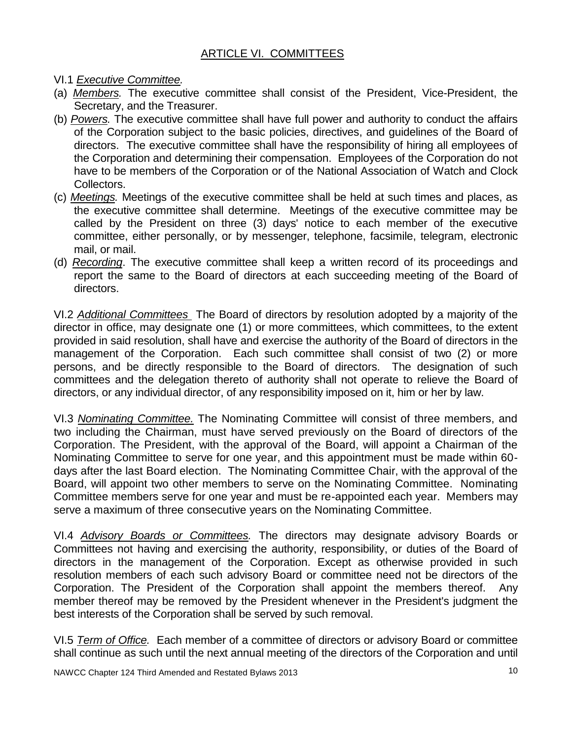- VI.1 *Executive Committee.*
- (a) *Members.* The executive committee shall consist of the President, Vice-President, the Secretary, and the Treasurer.
- (b) *Powers.* The executive committee shall have full power and authority to conduct the affairs of the Corporation subject to the basic policies, directives, and guidelines of the Board of directors. The executive committee shall have the responsibility of hiring all employees of the Corporation and determining their compensation. Employees of the Corporation do not have to be members of the Corporation or of the National Association of Watch and Clock Collectors.
- (c) *Meetings.* Meetings of the executive committee shall be held at such times and places, as the executive committee shall determine. Meetings of the executive committee may be called by the President on three (3) days' notice to each member of the executive committee, either personally, or by messenger, telephone, facsimile, telegram, electronic mail, or mail.
- (d) *Recording*. The executive committee shall keep a written record of its proceedings and report the same to the Board of directors at each succeeding meeting of the Board of directors.

VI.2 *Additional Committees* The Board of directors by resolution adopted by a majority of the director in office, may designate one (1) or more committees, which committees, to the extent provided in said resolution, shall have and exercise the authority of the Board of directors in the management of the Corporation. Each such committee shall consist of two (2) or more persons, and be directly responsible to the Board of directors. The designation of such committees and the delegation thereto of authority shall not operate to relieve the Board of directors, or any individual director, of any responsibility imposed on it, him or her by law.

VI.3 *Nominating Committee.* The Nominating Committee will consist of three members, and two including the Chairman, must have served previously on the Board of directors of the Corporation. The President, with the approval of the Board, will appoint a Chairman of the Nominating Committee to serve for one year, and this appointment must be made within 60 days after the last Board election. The Nominating Committee Chair, with the approval of the Board, will appoint two other members to serve on the Nominating Committee. Nominating Committee members serve for one year and must be re-appointed each year. Members may serve a maximum of three consecutive years on the Nominating Committee.

VI.4 *Advisory Boards or Committees.* The directors may designate advisory Boards or Committees not having and exercising the authority, responsibility, or duties of the Board of directors in the management of the Corporation. Except as otherwise provided in such resolution members of each such advisory Board or committee need not be directors of the Corporation. The President of the Corporation shall appoint the members thereof. Any member thereof may be removed by the President whenever in the President's judgment the best interests of the Corporation shall be served by such removal.

VI.5 *Term of Office.* Each member of a committee of directors or advisory Board or committee shall continue as such until the next annual meeting of the directors of the Corporation and until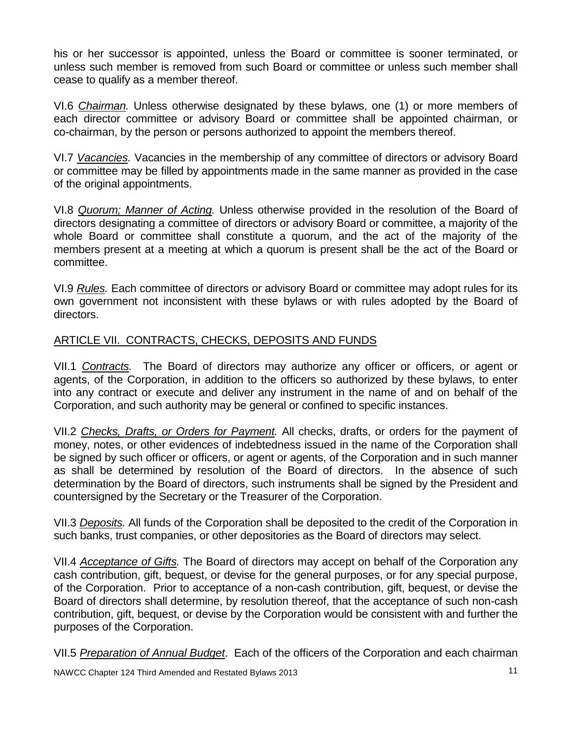his or her successor is appointed, unless the Board or committee is sooner terminated, or unless such member is removed from such Board or committee or unless such member shall cease to qualify as a member thereof.

VI.6 *Chairman.* Unless otherwise designated by these bylaws, one (1) or more members of each director committee or advisory Board or committee shall be appointed chairman, or co-chairman, by the person or persons authorized to appoint the members thereof.

VI.7 *Vacancies.* Vacancies in the membership of any committee of directors or advisory Board or committee may be filled by appointments made in the same manner as provided in the case of the original appointments.

VI.8 *Quorum; Manner of Acting.* Unless otherwise provided in the resolution of the Board of directors designating a committee of directors or advisory Board or committee, a majority of the whole Board or committee shall constitute a quorum, and the act of the majority of the members present at a meeting at which a quorum is present shall be the act of the Board or committee.

VI.9 *Rules.* Each committee of directors or advisory Board or committee may adopt rules for its own government not inconsistent with these bylaws or with rules adopted by the Board of directors.

### ARTICLE VII. CONTRACTS, CHECKS, DEPOSITS AND FUNDS

VII.1 *Contracts.* The Board of directors may authorize any officer or officers, or agent or agents, of the Corporation, in addition to the officers so authorized by these bylaws, to enter into any contract or execute and deliver any instrument in the name of and on behalf of the Corporation, and such authority may be general or confined to specific instances.

VII.2 *Checks, Drafts, or Orders for Payment.* All checks, drafts, or orders for the payment of money, notes, or other evidences of indebtedness issued in the name of the Corporation shall be signed by such officer or officers, or agent or agents, of the Corporation and in such manner as shall be determined by resolution of the Board of directors. In the absence of such determination by the Board of directors, such instruments shall be signed by the President and countersigned by the Secretary or the Treasurer of the Corporation.

VII.3 *Deposits.* All funds of the Corporation shall be deposited to the credit of the Corporation in such banks, trust companies, or other depositories as the Board of directors may select.

VII.4 *Acceptance of Gifts.* The Board of directors may accept on behalf of the Corporation any cash contribution, gift, bequest, or devise for the general purposes, or for any special purpose, of the Corporation. Prior to acceptance of a non-cash contribution, gift, bequest, or devise the Board of directors shall determine, by resolution thereof, that the acceptance of such non-cash contribution, gift, bequest, or devise by the Corporation would be consistent with and further the purposes of the Corporation.

VII.5 *Preparation of Annual Budget*. Each of the officers of the Corporation and each chairman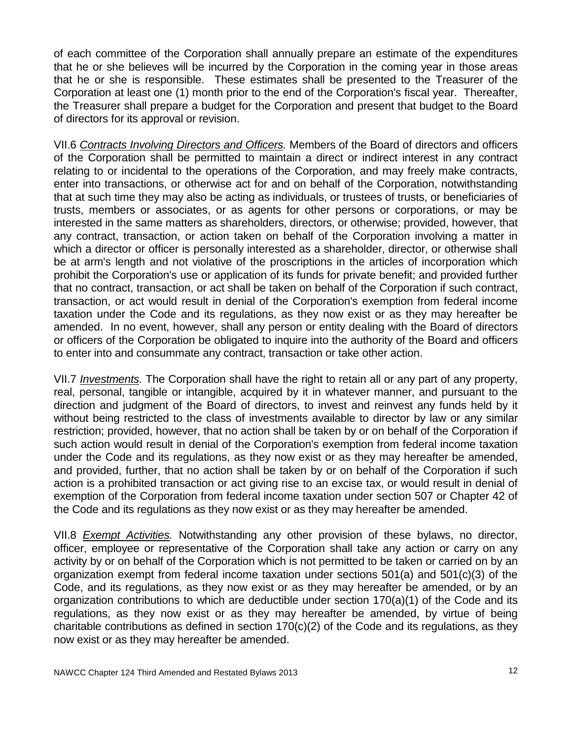of each committee of the Corporation shall annually prepare an estimate of the expenditures that he or she believes will be incurred by the Corporation in the coming year in those areas that he or she is responsible. These estimates shall be presented to the Treasurer of the Corporation at least one (1) month prior to the end of the Corporation's fiscal year. Thereafter, the Treasurer shall prepare a budget for the Corporation and present that budget to the Board of directors for its approval or revision.

VII.6 *Contracts Involving Directors and Officers.* Members of the Board of directors and officers of the Corporation shall be permitted to maintain a direct or indirect interest in any contract relating to or incidental to the operations of the Corporation, and may freely make contracts, enter into transactions, or otherwise act for and on behalf of the Corporation, notwithstanding that at such time they may also be acting as individuals, or trustees of trusts, or beneficiaries of trusts, members or associates, or as agents for other persons or corporations, or may be interested in the same matters as shareholders, directors, or otherwise; provided, however, that any contract, transaction, or action taken on behalf of the Corporation involving a matter in which a director or officer is personally interested as a shareholder, director, or otherwise shall be at arm's length and not violative of the proscriptions in the articles of incorporation which prohibit the Corporation's use or application of its funds for private benefit; and provided further that no contract, transaction, or act shall be taken on behalf of the Corporation if such contract, transaction, or act would result in denial of the Corporation's exemption from federal income taxation under the Code and its regulations, as they now exist or as they may hereafter be amended. In no event, however, shall any person or entity dealing with the Board of directors or officers of the Corporation be obligated to inquire into the authority of the Board and officers to enter into and consummate any contract, transaction or take other action.

VII.7 *Investments.* The Corporation shall have the right to retain all or any part of any property, real, personal, tangible or intangible, acquired by it in whatever manner, and pursuant to the direction and judgment of the Board of directors, to invest and reinvest any funds held by it without being restricted to the class of investments available to director by law or any similar restriction; provided, however, that no action shall be taken by or on behalf of the Corporation if such action would result in denial of the Corporation's exemption from federal income taxation under the Code and its regulations, as they now exist or as they may hereafter be amended, and provided, further, that no action shall be taken by or on behalf of the Corporation if such action is a prohibited transaction or act giving rise to an excise tax, or would result in denial of exemption of the Corporation from federal income taxation under section 507 or Chapter 42 of the Code and its regulations as they now exist or as they may hereafter be amended.

VII.8 *Exempt Activities.* Notwithstanding any other provision of these bylaws, no director, officer, employee or representative of the Corporation shall take any action or carry on any activity by or on behalf of the Corporation which is not permitted to be taken or carried on by an organization exempt from federal income taxation under sections 501(a) and 501(c)(3) of the Code, and its regulations, as they now exist or as they may hereafter be amended, or by an organization contributions to which are deductible under section 170(a)(1) of the Code and its regulations, as they now exist or as they may hereafter be amended, by virtue of being charitable contributions as defined in section  $170(c)(2)$  of the Code and its regulations, as they now exist or as they may hereafter be amended.